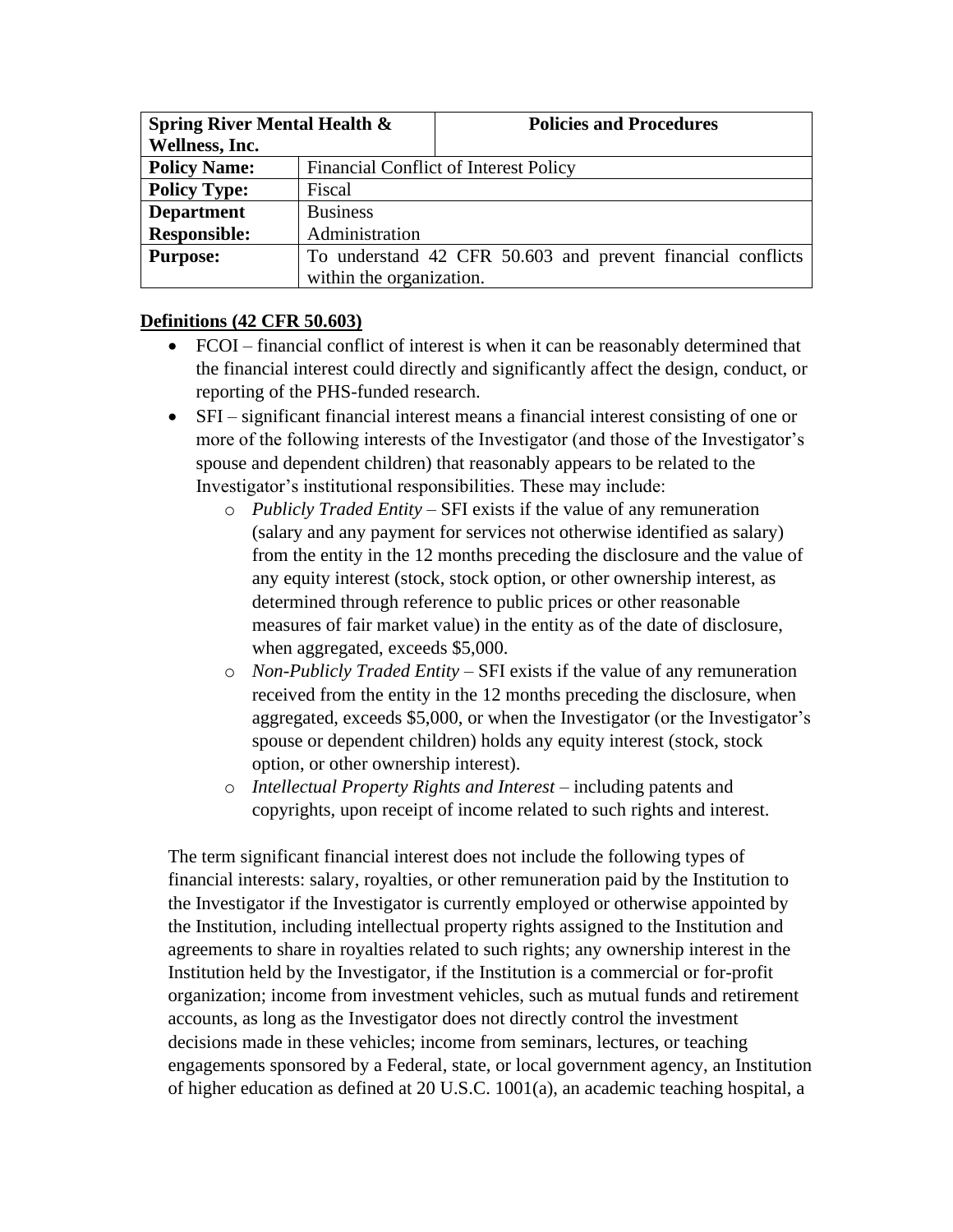| <b>Spring River Mental Health &amp;</b> |                                              | <b>Policies and Procedures</b>                              |  |
|-----------------------------------------|----------------------------------------------|-------------------------------------------------------------|--|
| Wellness, Inc.                          |                                              |                                                             |  |
| <b>Policy Name:</b>                     | <b>Financial Conflict of Interest Policy</b> |                                                             |  |
| <b>Policy Type:</b>                     | Fiscal                                       |                                                             |  |
| <b>Department</b>                       | <b>Business</b>                              |                                                             |  |
| <b>Responsible:</b>                     | Administration                               |                                                             |  |
| <b>Purpose:</b>                         |                                              | To understand 42 CFR 50.603 and prevent financial conflicts |  |
|                                         | within the organization.                     |                                                             |  |

#### **Definitions (42 CFR 50.603)**

- FCOI financial conflict of interest is when it can be reasonably determined that the financial interest could directly and significantly affect the design, conduct, or reporting of the PHS-funded research.
- SFI significant financial interest means a financial interest consisting of one or more of the following interests of the Investigator (and those of the Investigator's spouse and dependent children) that reasonably appears to be related to the Investigator's institutional responsibilities. These may include:
	- o *Publicly Traded Entity* SFI exists if the value of any remuneration (salary and any payment for services not otherwise identified as salary) from the entity in the 12 months preceding the disclosure and the value of any equity interest (stock, stock option, or other ownership interest, as determined through reference to public prices or other reasonable measures of fair market value) in the entity as of the date of disclosure, when aggregated, exceeds \$5,000.
	- o *Non-Publicly Traded Entity* SFI exists if the value of any remuneration received from the entity in the 12 months preceding the disclosure, when aggregated, exceeds \$5,000, or when the Investigator (or the Investigator's spouse or dependent children) holds any equity interest (stock, stock option, or other ownership interest).
	- o *Intellectual Property Rights and Interest* including patents and copyrights, upon receipt of income related to such rights and interest.

The term significant financial interest does not include the following types of financial interests: salary, royalties, or other remuneration paid by the Institution to the Investigator if the Investigator is currently employed or otherwise appointed by the Institution, including intellectual property rights assigned to the Institution and agreements to share in royalties related to such rights; any ownership interest in the Institution held by the Investigator, if the Institution is a commercial or for-profit organization; income from investment vehicles, such as mutual funds and retirement accounts, as long as the Investigator does not directly control the investment decisions made in these vehicles; income from seminars, lectures, or teaching engagements sponsored by a Federal, state, or local government agency, an Institution of higher education as defined at 20 U.S.C. 1001(a), an academic teaching hospital, a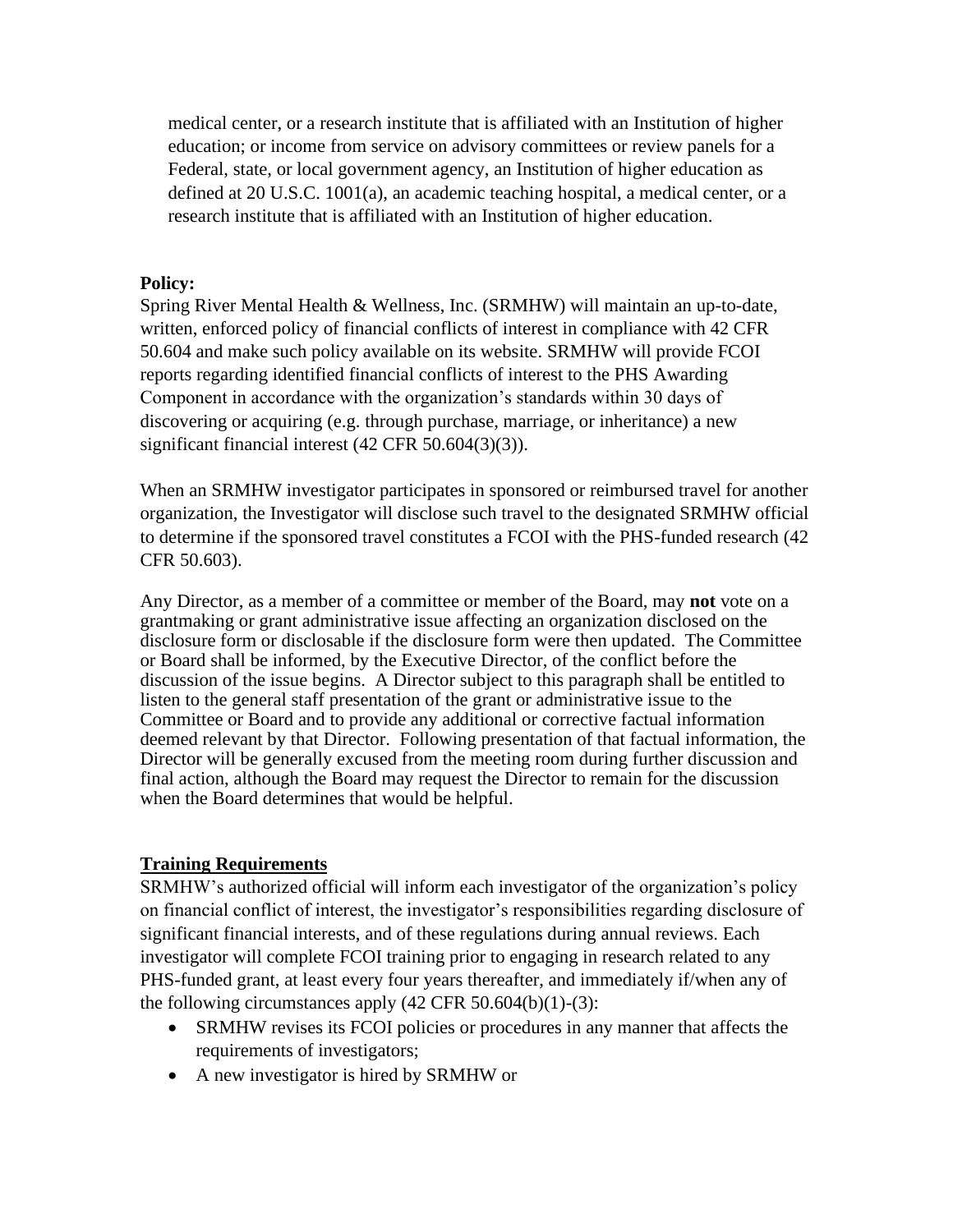medical center, or a research institute that is affiliated with an Institution of higher education; or income from service on advisory committees or review panels for a Federal, state, or local government agency, an Institution of higher education as defined at 20 U.S.C. 1001(a), an academic teaching hospital, a medical center, or a research institute that is affiliated with an Institution of higher education.

#### **Policy:**

Spring River Mental Health & Wellness, Inc. (SRMHW) will maintain an up-to-date, written, enforced policy of financial conflicts of interest in compliance with 42 CFR 50.604 and make such policy available on its website. SRMHW will provide FCOI reports regarding identified financial conflicts of interest to the PHS Awarding Component in accordance with the organization's standards within 30 days of discovering or acquiring (e.g. through purchase, marriage, or inheritance) a new significant financial interest (42 CFR 50.604(3)(3)).

When an SRMHW investigator participates in sponsored or reimbursed travel for another organization, the Investigator will disclose such travel to the designated SRMHW official to determine if the sponsored travel constitutes a FCOI with the PHS-funded research (42 CFR 50.603).

Any Director, as a member of a committee or member of the Board, may **not** vote on a grantmaking or grant administrative issue affecting an organization disclosed on the disclosure form or disclosable if the disclosure form were then updated. The Committee or Board shall be informed, by the Executive Director, of the conflict before the discussion of the issue begins. A Director subject to this paragraph shall be entitled to listen to the general staff presentation of the grant or administrative issue to the Committee or Board and to provide any additional or corrective factual information deemed relevant by that Director. Following presentation of that factual information, the Director will be generally excused from the meeting room during further discussion and final action, although the Board may request the Director to remain for the discussion when the Board determines that would be helpful.

#### **Training Requirements**

SRMHW's authorized official will inform each investigator of the organization's policy on financial conflict of interest, the investigator's responsibilities regarding disclosure of significant financial interests, and of these regulations during annual reviews. Each investigator will complete FCOI training prior to engaging in research related to any PHS-funded grant, at least every four years thereafter, and immediately if/when any of the following circumstances apply  $(42 \text{ CFR } 50.604(b)(1)-(3))$ :

- SRMHW revises its FCOI policies or procedures in any manner that affects the requirements of investigators;
- A new investigator is hired by SRMHW or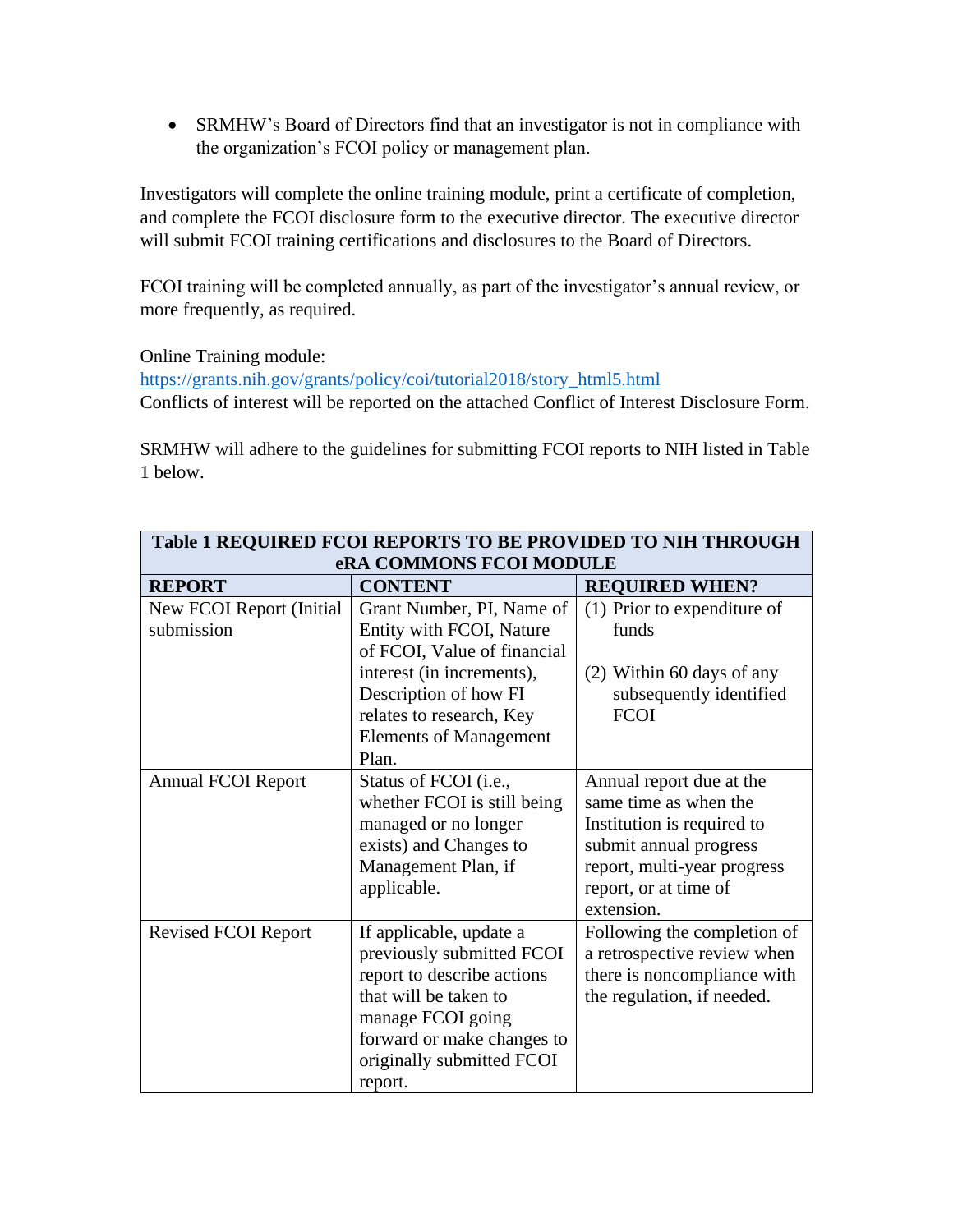• SRMHW's Board of Directors find that an investigator is not in compliance with the organization's FCOI policy or management plan.

Investigators will complete the online training module, print a certificate of completion, and complete the FCOI disclosure form to the executive director. The executive director will submit FCOI training certifications and disclosures to the Board of Directors.

FCOI training will be completed annually, as part of the investigator's annual review, or more frequently, as required.

Online Training module:

[https://grants.nih.gov/grants/policy/coi/tutorial2018/story\\_html5.html](https://grants.nih.gov/grants/policy/coi/tutorial2018/story_html5.html) Conflicts of interest will be reported on the attached Conflict of Interest Disclosure Form.

SRMHW will adhere to the guidelines for submitting FCOI reports to NIH listed in Table 1 below.

| <b>Table 1 REQUIRED FCOI REPORTS TO BE PROVIDED TO NIH THROUGH</b> |                               |                             |  |  |  |
|--------------------------------------------------------------------|-------------------------------|-----------------------------|--|--|--|
| eRA COMMONS FCOI MODULE                                            |                               |                             |  |  |  |
| <b>REPORT</b>                                                      | <b>CONTENT</b>                | <b>REQUIRED WHEN?</b>       |  |  |  |
| New FCOI Report (Initial                                           | Grant Number, PI, Name of     | (1) Prior to expenditure of |  |  |  |
| submission                                                         | Entity with FCOI, Nature      | funds                       |  |  |  |
|                                                                    | of FCOI, Value of financial   |                             |  |  |  |
|                                                                    | interest (in increments),     | (2) Within 60 days of any   |  |  |  |
|                                                                    | Description of how FI         | subsequently identified     |  |  |  |
|                                                                    | relates to research, Key      | <b>FCOI</b>                 |  |  |  |
|                                                                    | <b>Elements of Management</b> |                             |  |  |  |
|                                                                    | Plan.                         |                             |  |  |  |
| <b>Annual FCOI Report</b>                                          | Status of FCOI (i.e.,         | Annual report due at the    |  |  |  |
|                                                                    | whether FCOI is still being   | same time as when the       |  |  |  |
|                                                                    | managed or no longer          | Institution is required to  |  |  |  |
|                                                                    | exists) and Changes to        | submit annual progress      |  |  |  |
|                                                                    | Management Plan, if           | report, multi-year progress |  |  |  |
|                                                                    | applicable.                   | report, or at time of       |  |  |  |
|                                                                    |                               | extension.                  |  |  |  |
| <b>Revised FCOI Report</b>                                         | If applicable, update a       | Following the completion of |  |  |  |
|                                                                    | previously submitted FCOI     | a retrospective review when |  |  |  |
|                                                                    | report to describe actions    | there is noncompliance with |  |  |  |
|                                                                    | that will be taken to         | the regulation, if needed.  |  |  |  |
|                                                                    | manage FCOI going             |                             |  |  |  |
|                                                                    | forward or make changes to    |                             |  |  |  |
|                                                                    | originally submitted FCOI     |                             |  |  |  |
|                                                                    | report.                       |                             |  |  |  |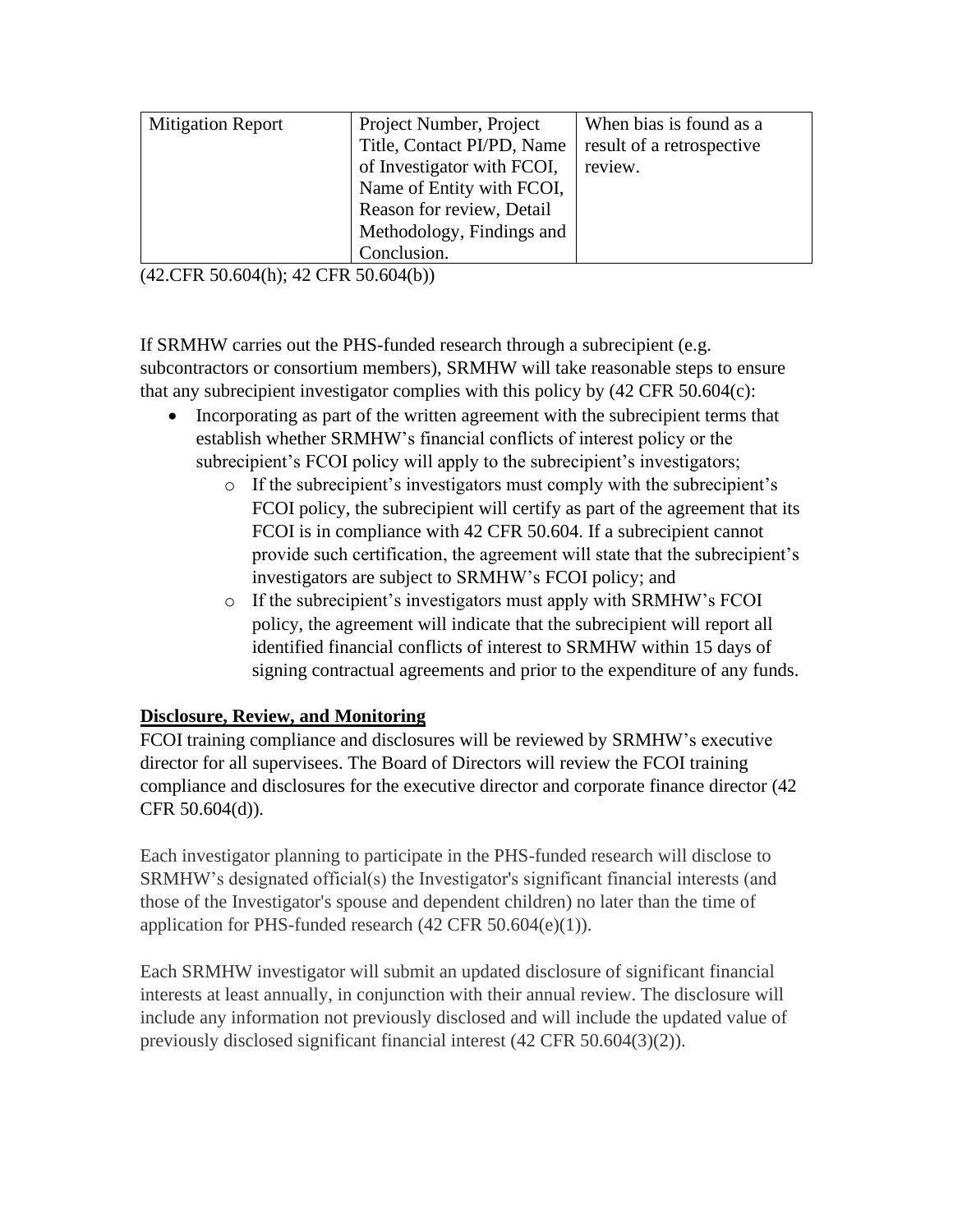| <b>Mitigation Report</b> | Project Number, Project    | When bias is found as a   |
|--------------------------|----------------------------|---------------------------|
|                          | Title, Contact PI/PD, Name | result of a retrospective |
|                          | of Investigator with FCOI, | review.                   |
|                          | Name of Entity with FCOI,  |                           |
|                          | Reason for review, Detail  |                           |
|                          | Methodology, Findings and  |                           |
|                          | Conclusion.                |                           |

(42.CFR 50.604(h); 42 CFR 50.604(b))

If SRMHW carries out the PHS-funded research through a subrecipient (e.g. subcontractors or consortium members), SRMHW will take reasonable steps to ensure that any subrecipient investigator complies with this policy by  $(42 \text{ CFR } 50.604(c))$ :

- Incorporating as part of the written agreement with the subrecipient terms that establish whether SRMHW's financial conflicts of interest policy or the subrecipient's FCOI policy will apply to the subrecipient's investigators;
	- o If the subrecipient's investigators must comply with the subrecipient's FCOI policy, the subrecipient will certify as part of the agreement that its FCOI is in compliance with 42 CFR 50.604. If a subrecipient cannot provide such certification, the agreement will state that the subrecipient's investigators are subject to SRMHW's FCOI policy; and
	- o If the subrecipient's investigators must apply with SRMHW's FCOI policy, the agreement will indicate that the subrecipient will report all identified financial conflicts of interest to SRMHW within 15 days of signing contractual agreements and prior to the expenditure of any funds.

# **Disclosure, Review, and Monitoring**

FCOI training compliance and disclosures will be reviewed by SRMHW's executive director for all supervisees. The Board of Directors will review the FCOI training compliance and disclosures for the executive director and corporate finance director (42 CFR 50.604(d)).

Each investigator planning to participate in the PHS-funded research will disclose to SRMHW's designated official(s) the Investigator's significant financial interests (and those of the Investigator's spouse and dependent children) no later than the time of application for PHS-funded research (42 CFR 50.604(e)(1)).

Each SRMHW investigator will submit an updated disclosure of significant financial interests at least annually, in conjunction with their annual review. The disclosure will include any information not previously disclosed and will include the updated value of previously disclosed significant financial interest (42 CFR 50.604(3)(2)).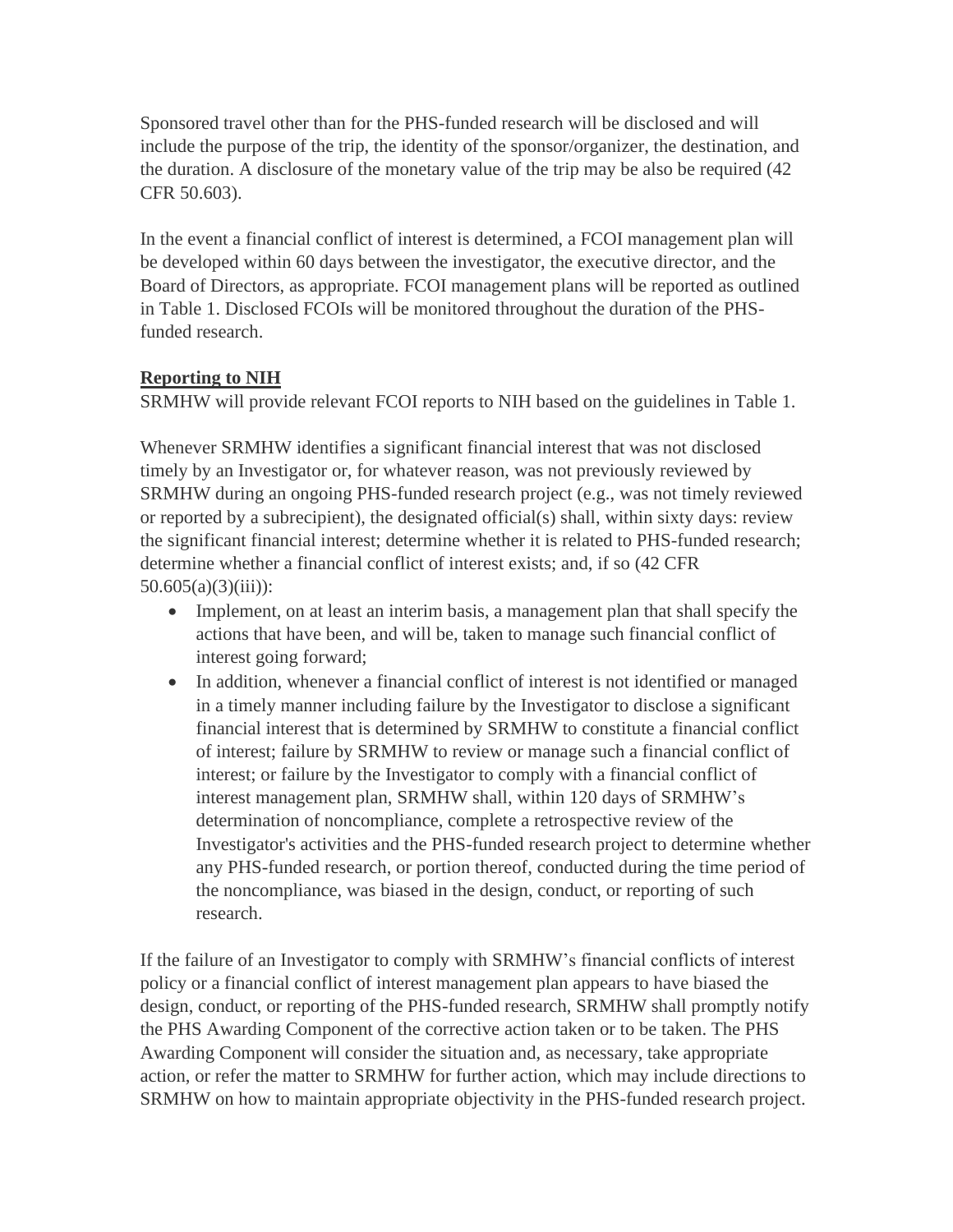Sponsored travel other than for the PHS-funded research will be disclosed and will include the purpose of the trip, the identity of the sponsor/organizer, the destination, and the duration. A disclosure of the monetary value of the trip may be also be required (42 CFR 50.603).

In the event a financial conflict of interest is determined, a FCOI management plan will be developed within 60 days between the investigator, the executive director, and the Board of Directors, as appropriate. FCOI management plans will be reported as outlined in Table 1. Disclosed FCOIs will be monitored throughout the duration of the PHSfunded research.

# **Reporting to NIH**

SRMHW will provide relevant FCOI reports to NIH based on the guidelines in Table 1.

Whenever SRMHW identifies a significant financial interest that was not disclosed timely by an Investigator or, for whatever reason, was not previously reviewed by SRMHW during an ongoing PHS-funded research project (e.g., was not timely reviewed or reported by a subrecipient), the designated official(s) shall, within sixty days: review the significant financial interest; determine whether it is related to PHS-funded research; determine whether a financial conflict of interest exists; and, if so (42 CFR  $50.605(a)(3)(iii)$ :

- Implement, on at least an interim basis, a management plan that shall specify the actions that have been, and will be, taken to manage such financial conflict of interest going forward;
- In addition, whenever a financial conflict of interest is not identified or managed in a timely manner including failure by the Investigator to disclose a significant financial interest that is determined by SRMHW to constitute a financial conflict of interest; failure by SRMHW to review or manage such a financial conflict of interest; or failure by the Investigator to comply with a financial conflict of interest management plan, SRMHW shall, within 120 days of SRMHW's determination of noncompliance, complete a retrospective review of the Investigator's activities and the PHS-funded research project to determine whether any PHS-funded research, or portion thereof, conducted during the time period of the noncompliance, was biased in the design, conduct, or reporting of such research.

If the failure of an Investigator to comply with SRMHW's financial conflicts of interest policy or a financial conflict of interest management plan appears to have biased the design, conduct, or reporting of the PHS-funded research, SRMHW shall promptly notify the PHS Awarding Component of the corrective action taken or to be taken. The PHS Awarding Component will consider the situation and, as necessary, take appropriate action, or refer the matter to SRMHW for further action, which may include directions to SRMHW on how to maintain appropriate objectivity in the PHS-funded research project.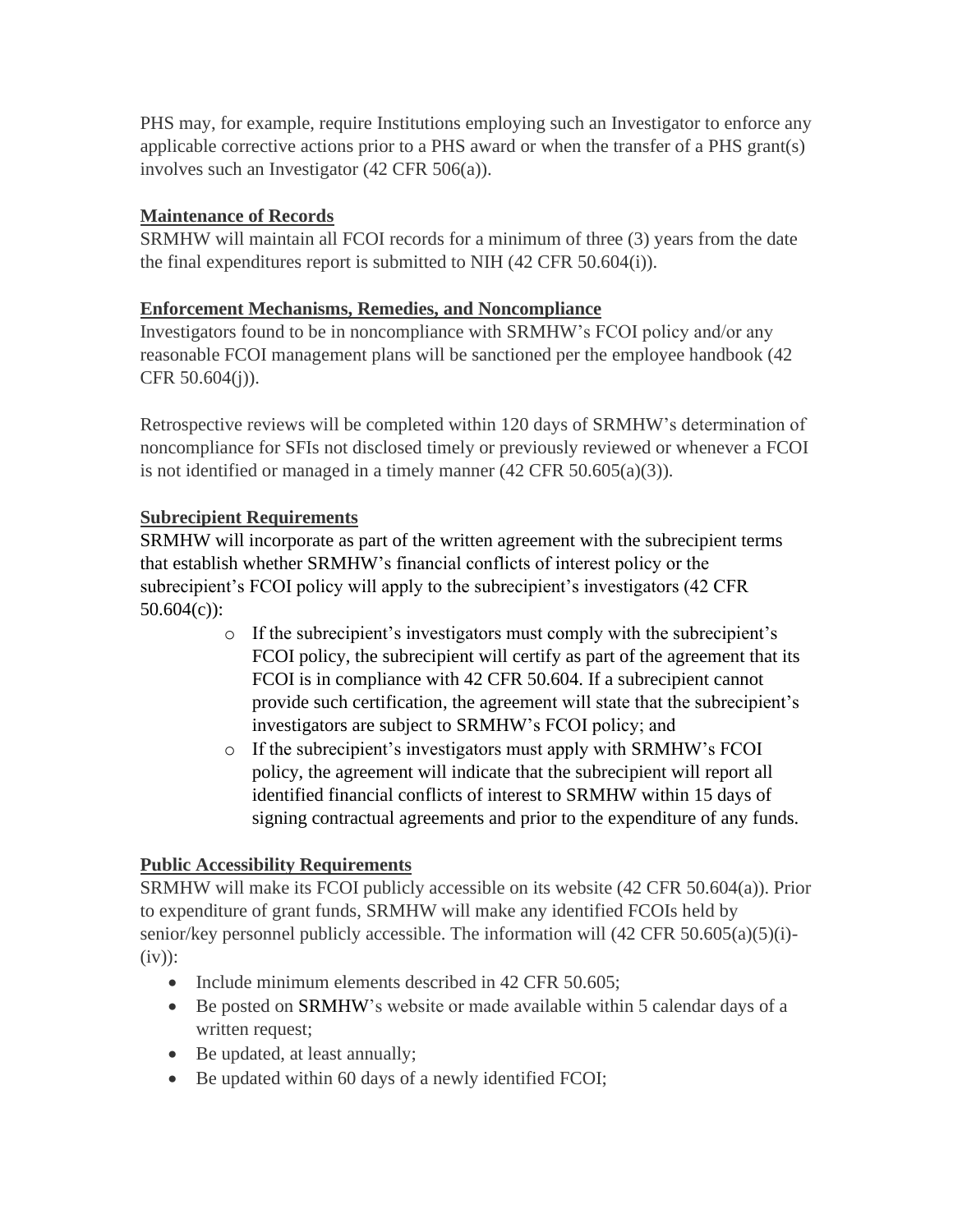PHS may, for example, require Institutions employing such an Investigator to enforce any applicable corrective actions prior to a PHS award or when the transfer of a PHS grant(s) involves such an Investigator (42 CFR 506(a)).

### **Maintenance of Records**

SRMHW will maintain all FCOI records for a minimum of three (3) years from the date the final expenditures report is submitted to NIH (42 CFR 50.604(i)).

### **Enforcement Mechanisms, Remedies, and Noncompliance**

Investigators found to be in noncompliance with SRMHW's FCOI policy and/or any reasonable FCOI management plans will be sanctioned per the employee handbook (42 CFR 50.604(j)).

Retrospective reviews will be completed within 120 days of SRMHW's determination of noncompliance for SFIs not disclosed timely or previously reviewed or whenever a FCOI is not identified or managed in a timely manner (42 CFR 50.605(a)(3)).

### **Subrecipient Requirements**

SRMHW will incorporate as part of the written agreement with the subrecipient terms that establish whether SRMHW's financial conflicts of interest policy or the subrecipient's FCOI policy will apply to the subrecipient's investigators (42 CFR 50.604(c)):

- o If the subrecipient's investigators must comply with the subrecipient's FCOI policy, the subrecipient will certify as part of the agreement that its FCOI is in compliance with 42 CFR 50.604. If a subrecipient cannot provide such certification, the agreement will state that the subrecipient's investigators are subject to SRMHW's FCOI policy; and
- o If the subrecipient's investigators must apply with SRMHW's FCOI policy, the agreement will indicate that the subrecipient will report all identified financial conflicts of interest to SRMHW within 15 days of signing contractual agreements and prior to the expenditure of any funds.

# **Public Accessibility Requirements**

SRMHW will make its FCOI publicly accessible on its website (42 CFR 50.604(a)). Prior to expenditure of grant funds, SRMHW will make any identified FCOIs held by senior/key personnel publicly accessible. The information will  $(42 \text{ CFR } 50.605(a)(5)(i)$ - $(iv)$ :

- Include minimum elements described in 42 CFR 50.605;
- Be posted on SRMHW's website or made available within 5 calendar days of a written request;
- Be updated, at least annually;
- Be updated within 60 days of a newly identified FCOI;